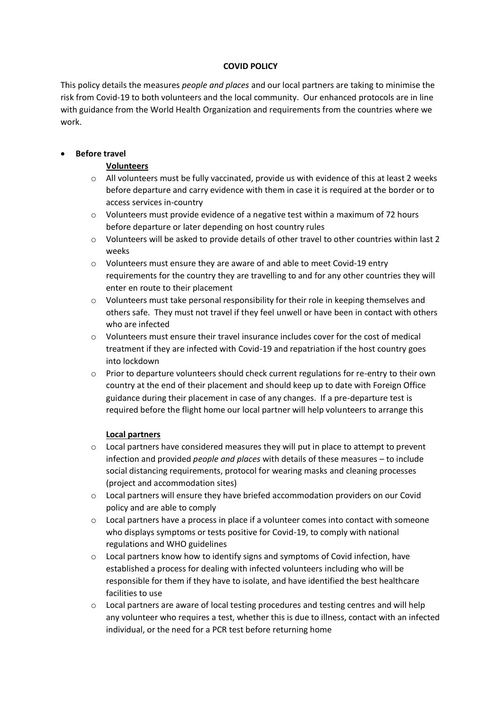## **COVID POLICY**

This policy details the measures *people and places* and our local partners are taking to minimise the risk from Covid-19 to both volunteers and the local community. Our enhanced protocols are in line with guidance from the World Health Organization and requirements from the countries where we work.

# • **Before travel**

## **Volunteers**

- o All volunteers must be fully vaccinated, provide us with evidence of this at least 2 weeks before departure and carry evidence with them in case it is required at the border or to access services in-country
- o Volunteers must provide evidence of a negative test within a maximum of 72 hours before departure or later depending on host country rules
- o Volunteers will be asked to provide details of other travel to other countries within last 2 weeks
- o Volunteers must ensure they are aware of and able to meet Covid-19 entry requirements for the country they are travelling to and for any other countries they will enter en route to their placement
- $\circ$  Volunteers must take personal responsibility for their role in keeping themselves and others safe. They must not travel if they feel unwell or have been in contact with others who are infected
- $\circ$  Volunteers must ensure their travel insurance includes cover for the cost of medical treatment if they are infected with Covid-19 and repatriation if the host country goes into lockdown
- $\circ$  Prior to departure volunteers should check current regulations for re-entry to their own country at the end of their placement and should keep up to date with Foreign Office guidance during their placement in case of any changes. If a pre-departure test is required before the flight home our local partner will help volunteers to arrange this

### **Local partners**

- o Local partners have considered measures they will put in place to attempt to prevent infection and provided *people and places* with details of these measures – to include social distancing requirements, protocol for wearing masks and cleaning processes (project and accommodation sites)
- o Local partners will ensure they have briefed accommodation providers on our Covid policy and are able to comply
- o Local partners have a process in place if a volunteer comes into contact with someone who displays symptoms or tests positive for Covid-19, to comply with national regulations and WHO guidelines
- $\circ$  Local partners know how to identify signs and symptoms of Covid infection, have established a process for dealing with infected volunteers including who will be responsible for them if they have to isolate, and have identified the best healthcare facilities to use
- o Local partners are aware of local testing procedures and testing centres and will help any volunteer who requires a test, whether this is due to illness, contact with an infected individual, or the need for a PCR test before returning home